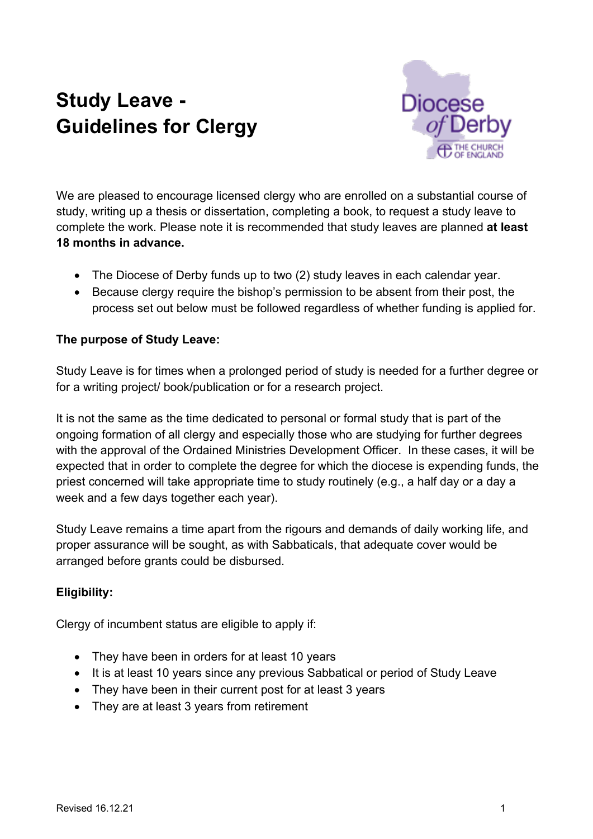# **Study Leave - Guidelines for Clergy**



We are pleased to encourage licensed clergy who are enrolled on a substantial course of study, writing up a thesis or dissertation, completing a book, to request a study leave to complete the work. Please note it is recommended that study leaves are planned **at least 18 months in advance.** 

- The Diocese of Derby funds up to two (2) study leaves in each calendar year.
- Because clergy require the bishop's permission to be absent from their post, the process set out below must be followed regardless of whether funding is applied for.

## **The purpose of Study Leave:**

Study Leave is for times when a prolonged period of study is needed for a further degree or for a writing project/ book/publication or for a research project.

It is not the same as the time dedicated to personal or formal study that is part of the ongoing formation of all clergy and especially those who are studying for further degrees with the approval of the Ordained Ministries Development Officer. In these cases, it will be expected that in order to complete the degree for which the diocese is expending funds, the priest concerned will take appropriate time to study routinely (e.g., a half day or a day a week and a few days together each year).

Study Leave remains a time apart from the rigours and demands of daily working life, and proper assurance will be sought, as with Sabbaticals, that adequate cover would be arranged before grants could be disbursed.

### **Eligibility:**

Clergy of incumbent status are eligible to apply if:

- They have been in orders for at least 10 years
- It is at least 10 years since any previous Sabbatical or period of Study Leave
- They have been in their current post for at least 3 years
- They are at least 3 years from retirement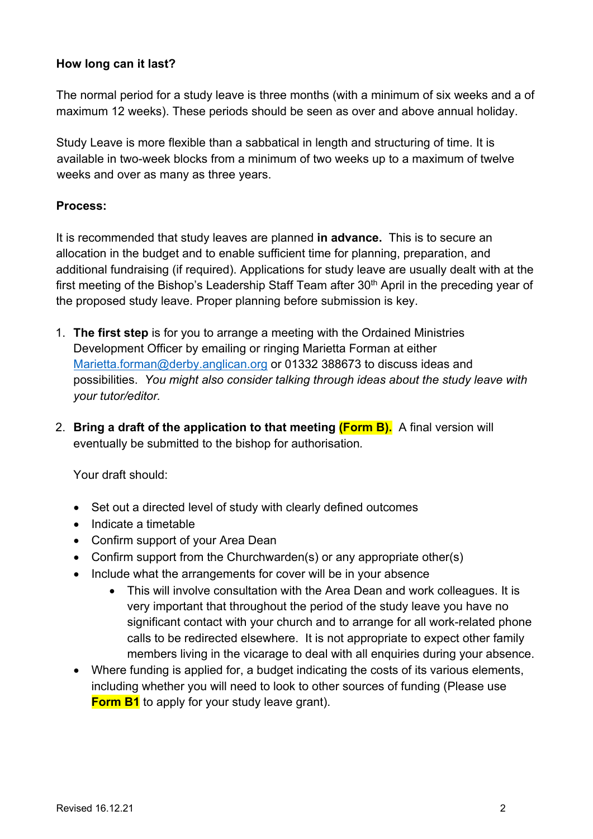#### **How long can it last?**

The normal period for a study leave is three months (with a minimum of six weeks and a of maximum 12 weeks). These periods should be seen as over and above annual holiday.

Study Leave is more flexible than a sabbatical in length and structuring of time. It is available in two-week blocks from a minimum of two weeks up to a maximum of twelve weeks and over as many as three years.

#### **Process:**

It is recommended that study leaves are planned **in advance.** This is to secure an allocation in the budget and to enable sufficient time for planning, preparation, and additional fundraising (if required). Applications for study leave are usually dealt with at the first meeting of the Bishop's Leadership Staff Team after 30<sup>th</sup> April in the preceding year of the proposed study leave. Proper planning before submission is key.

- 1. **The first step** is for you to arrange a meeting with the Ordained Ministries Development Officer by emailing or ringing Marietta Forman at either Marietta.forman@derby.anglican.org or 01332 388673 to discuss ideas and possibilities. *You might also consider talking through ideas about the study leave with your tutor/editor.*
- 2. **Bring a draft of the application to that meeting (Form B).** A final version will eventually be submitted to the bishop for authorisation*.*

Your draft should:

- Set out a directed level of study with clearly defined outcomes
- Indicate a timetable
- Confirm support of your Area Dean
- Confirm support from the Churchwarden(s) or any appropriate other(s)
- Include what the arrangements for cover will be in your absence
	- This will involve consultation with the Area Dean and work colleagues. It is very important that throughout the period of the study leave you have no significant contact with your church and to arrange for all work-related phone calls to be redirected elsewhere. It is not appropriate to expect other family members living in the vicarage to deal with all enquiries during your absence.
- Where funding is applied for, a budget indicating the costs of its various elements, including whether you will need to look to other sources of funding (Please use **Form B1** to apply for your study leave grant).